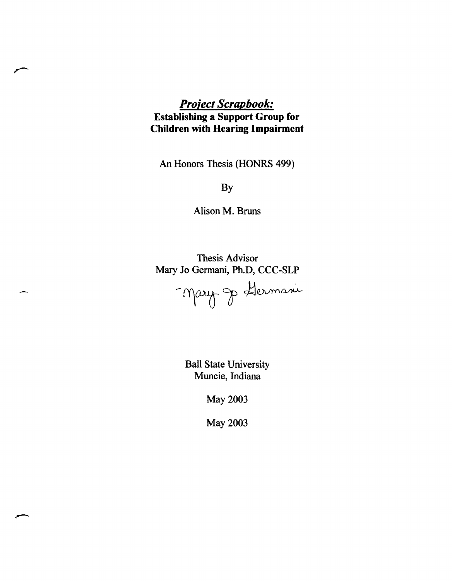#### *Project Scrapbook:*  **Establishing a Support Group for Children with Hearing Impairment**

An Honors Thesis (HONRS 499)

By

Alison M. Bruns

Thesis Advisor Mary Jo Germani, Ph.D, CCC-SLP Mary Je Hermani

> Ball State University Muncie, Indiana

> > May 2003

May 2003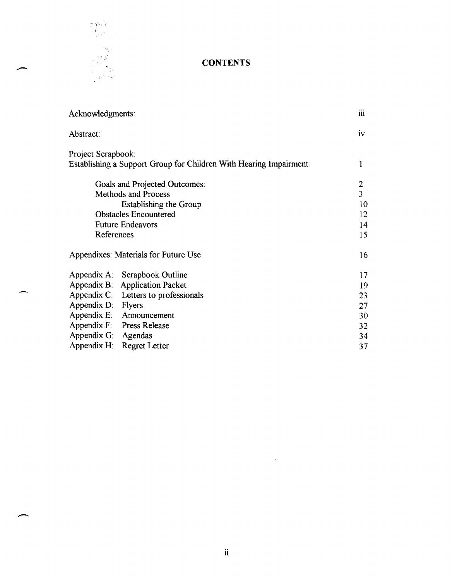

 $\overline{\phantom{a}}$ 

#### **CONTENTS**

|  | Acknowledgments:                                              |                                                                   | iii            |
|--|---------------------------------------------------------------|-------------------------------------------------------------------|----------------|
|  | Abstract:                                                     |                                                                   | iv             |
|  | Project Scrapbook:                                            |                                                                   |                |
|  |                                                               | Establishing a Support Group for Children With Hearing Impairment |                |
|  | Goals and Projected Outcomes:                                 |                                                                   | $\overline{c}$ |
|  | <b>Methods and Process</b>                                    |                                                                   |                |
|  | <b>Establishing the Group</b><br><b>Obstacles Encountered</b> |                                                                   |                |
|  |                                                               |                                                                   |                |
|  | <b>Future Endeavors</b>                                       |                                                                   | 14             |
|  | References                                                    |                                                                   | 15             |
|  | Appendixes: Materials for Future Use                          |                                                                   | 16             |
|  | Scrapbook Outline<br>Appendix A:                              |                                                                   | 17             |
|  | Appendix B: Application Packet                                |                                                                   | 19             |
|  | Appendix C: Letters to professionals                          |                                                                   | 23             |
|  | Appendix D: Flyers                                            |                                                                   | 27             |
|  | Appendix $E$ :<br>Announcement                                |                                                                   | 30             |
|  | Appendix F: Press Release                                     |                                                                   | 32             |
|  | Appendix G:<br>Agendas                                        |                                                                   | 34             |
|  | Appendix H: Regret Letter                                     |                                                                   | 37             |
|  |                                                               |                                                                   |                |

 $\sim 10^{11}$  km s  $^{-1}$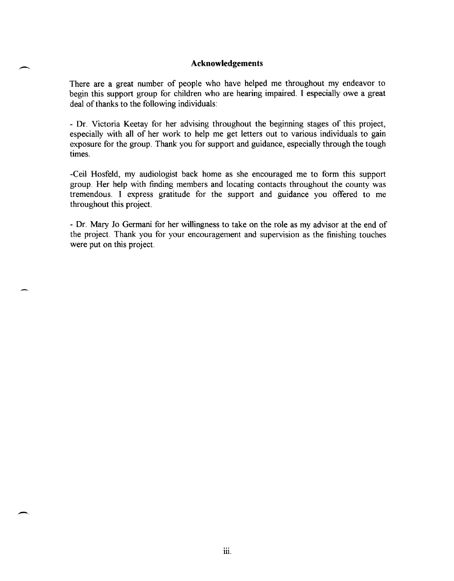#### **Acknowledgements**

 $\overline{\phantom{0}}$ 

-.

There are a great number of people who have helped me throughout my endeavor to begin this support group for children who are hearing impaired. I especially owe a great deal of thanks to the following individuals:

- Dr. Victoria Keetay for her advising throughout the beginning stages of this project, especially with all of her work to help me get letters out to various individuals to gain exposure for the group. Thank you for support and guidance, especially through the tough times.

-Ceil Hosfeld, my audiologist back home as she encouraged me to form this support group. Her help with finding members and locating contacts throughout the county was tremendous. I express gratitude for the support and guidance you offered to me throughout this project.

- Dr. Mary Jo Germani for her willingness to take on the role as my advisor at the end of the project. Thank you for your encouragement and supervision as the finishing touches were put on this project.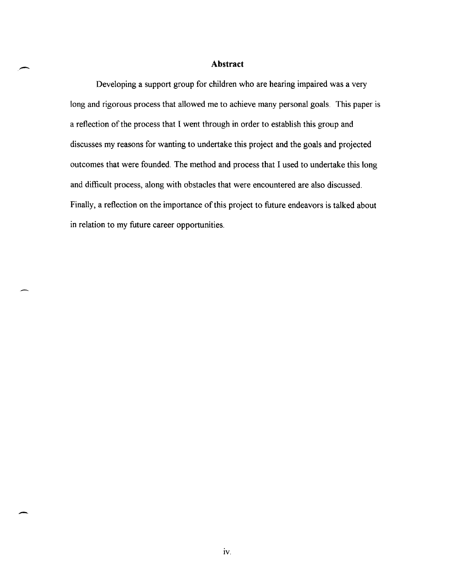#### **Abstract**

.-

-.

Developing a support group for children who are hearing impaired was a very long and rigorous process that allowed me to achieve many personal goals. This paper is a reflection of the process that I went through in order to establish this group and discusses my reasons for wanting to undertake this project and the goals and projected outcomes that were founded. The method and process that I used to undertake this long and difficult process, along with obstacles that were encountered are also discussed. Finally, a reflection on the importance of this project to future endeavors is talked about in relation to my future career opportunities.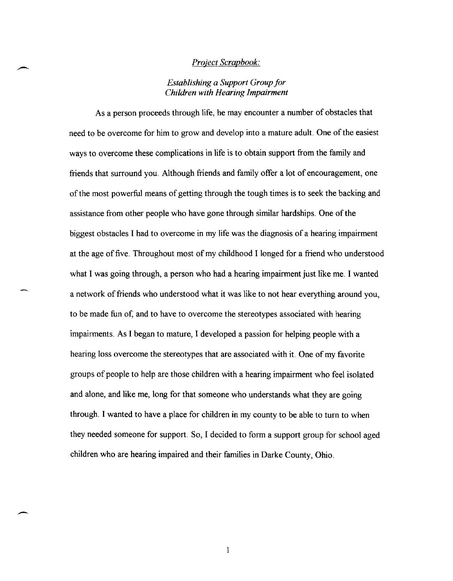#### *Project Scrapbook:*

#### *Establishing a Support Group jor Children with Hearing Impairment*

As a person proceeds through life, he may encounter a number of obstacles that need to be overcome for him to grow and develop into a mature adult. One of the easiest ways to overcome these complications in life is to obtain support from the family and friends that surround you. Although friends and family offer a lot of encouragement, one of the most powerful means of getting through the tough times is to seek the backing and assistance from other people who have gone through similar hardships. One of the biggest obstacles I had to overcome in my life was the diagnosis of a hearing impairment at the age of five. Throughout most of my childhood I longed for a friend who understood what I was going through, a person who had a hearing impairment just like me. I wanted a network of friends who understood what it was like to not hear everything around you, to be made fun of, and to have to overcome the stereotypes associated with hearing impairments. As I began to mature, I developed a passion for helping people with a hearing loss overcome the stereotypes that are associated with it. One of my favorite groups of people to help are those children with a hearing impairment who feel isolated and alone, and like me, long for that someone who understands what they are going through. I wanted to have a place for children in my county to be able to turn to when they needed someone for support. So, I decided to form a support group for school aged children who are hearing impaired and their families in Darke County, Ohio.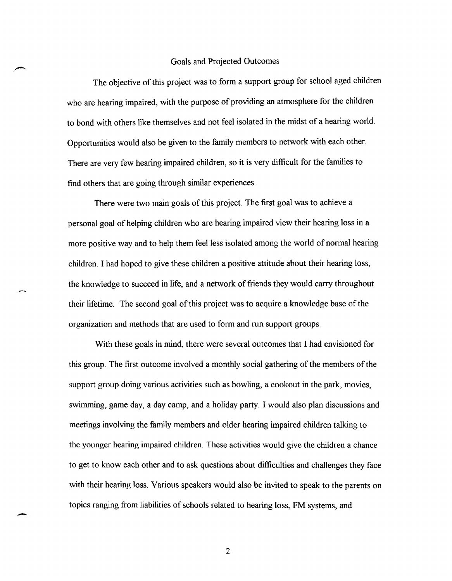#### Goals and Projected Outcomes

The objective of this project was to form a support group for school aged children who are hearing impaired, with the purpose of providing an atmosphere for the children to bond with others like themselves and not feel isolated in the midst of a hearing world. Opportunities would also be given to the family members to network with each other. There are very few hearing impaired children, so it is very difficult for the families to find others that are going through similar experiences.

There were two main goals of this project. The first goal was to achieve a personal goal of helping children who are hearing impaired view their hearing loss in a more positive way and to help them feel less isolated among the world of normal hearing children. I had hoped to give these children a positive attitude about their hearing loss, the knowledge to succeed in life, and a network of friends they would carry throughout their lifetime. The second goal of this project was to acquire a knowledge base of the organization and methods that are used to form and run support groups.

With these goals in mind, there were several outcomes that I had envisioned for this group. The first outcome involved a monthly social gathering of the members of the support group doing various activities such as bowling, a cookout in the park, movies, swimming, game day, a day camp, and a holiday party. I would also plan discussions and meetings involving the family members and older hearing impaired children talking to the younger hearing impaired children. These activities would give the children a chance to get to know each other and to ask questions about difficulties and challenges they face with their hearing loss. Various speakers would also be invited to speak to the parents on topics ranging from liabilities of schools related to hearing loss, FM systems, and

2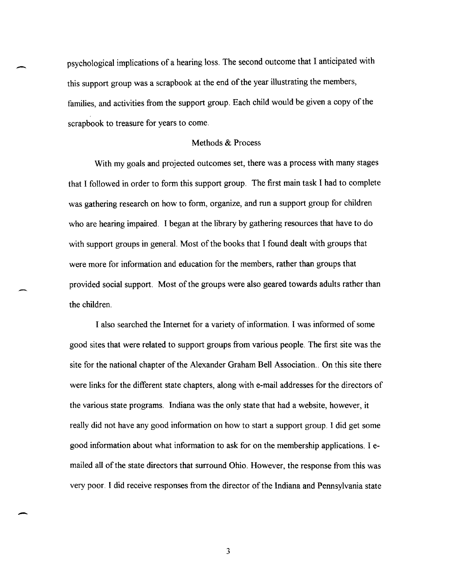psychological implications of a hearing loss. The second outcome that I anticipated with this support group was a scrapbook at the end of the year illustrating the members, families, and activities from the support group. Each child would be given a copy of the scrapbook to treasure for years to come.

-

-

#### Methods & Process

With my goals and projected outcomes set, there was a process with many stages that I followed in order to form this support group. The first main task I had to complete was gathering research on how to form, organize, and run a support group for children who are hearing impaired. I began at the library by gathering resources that have to do with support groups in general. Most of the books that I found dealt with groups that were more for information and education for the members, rather than groups that provided social support. Most of the groups were also geared towards adults rather than the children.

I also searched the Internet for a variety of information. I was informed of some good sites that were related to support groups from various people. The first site was the site for the national chapter of the Alexander Graham Bell Association .. On this site there were links for the different state chapters, along with e-mail addresses for the directors of the various state programs. Indiana was the only state that had a website, however, it really did not have any good information on how to start a support group. I did get some good information about what information to ask for on the membership applications. I emailed all of the state directors that surround Ohio. However, the response from this was very poor. I did receive responses from the director of the Indiana and Pennsylvania state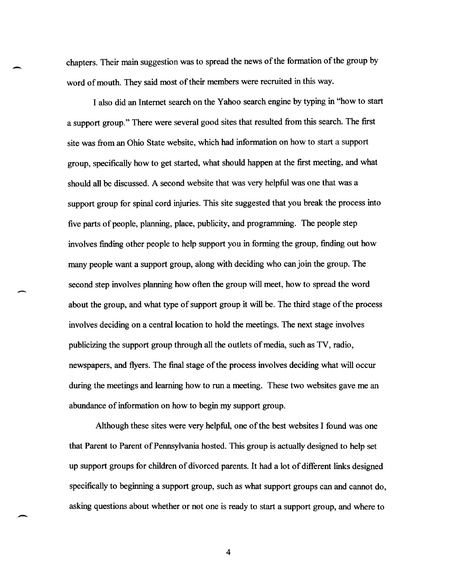chapters. Their main suggestion was to spread the news of the formation of the group by word of mouth. They said most of their members were recruited in this way.

-.

-

.-

I also did an Internet search on the Yahoo search engine by typing in "how to start a support group." There were several good sites that resulted from this search. The first site was from an Ohio State website, which had information on how to start a support group, specifically how to get started, what should happen at the first meeting, and what should all be discussed. A second website that was very helpful was one that was a support group for spinal cord injuries. This site suggested that you break the process into five parts of people, planning, place, publicity, and programming. The people step involves finding other people to help support you in forming the group, finding out how many people want a support group, along with deciding who can join the group. The second step involves planning how often the group will meet, how to spread the word about the group, and what type of support group it will be. The third stage of the process involves deciding on a central location to hold the meetings. The next stage involves publicizing the support group through all the outlets of media, such as TV, radio, newspapers, and flyers. The final stage of the process involves deciding what will occur during the meetings and learning how to run a meeting. These two websites gave me an abundance of information on how to begin my support group.

Although these sites were very helpful, one of the best websites I found was one that Parent to Parent of Pennsylvania hosted. This group is actually designed to help set up support groups for children of divorced parents. It had a lot of different links designed specifically to beginning a support group, such as what support groups can and cannot do, asking questions about whether or not one is ready to start a support group, and where to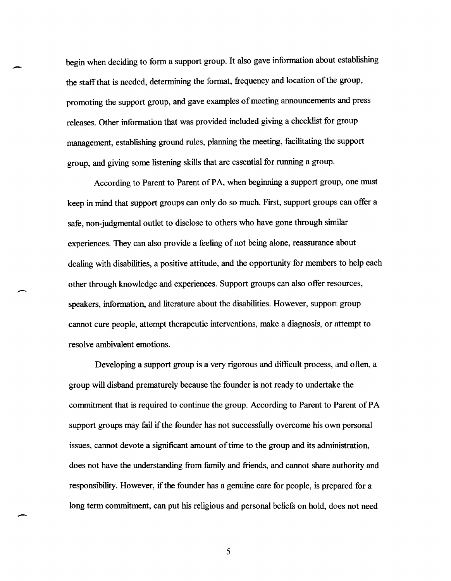begin when deciding to form a support group. It also gave information about establishing the staff that is needed, determining the format, frequency and location of the group, promoting the support group, and gave examples of meeting announcements and press releases. Other information that was provided included giving a checklist for group management, establishing ground rules, planning the meeting, facilitating the support group, and giving some listening skills that are essential for running a group.

--

-

--

According to Parent to Parent of PA, when beginning a support group, one must keep in mind that support groups can only do so much. First, support groups can offer a safe, non-judgmental outlet to disclose to others who have gone through similar experiences. They can also provide a feeling of not being alone, reassurance about dealing with disabilities, a positive attitude, and the opportunity for members to help each other through knowledge and experiences. Support groups can also offer resources, speakers, information, and literature about the disabilities. However, support group cannot cure people, attempt therapeutic interventions, make a diagnosis, or attempt to resolve ambivalent emotions.

Developing a support group is a very rigorous and difficult process, and often, a group will disband prematurely because the founder is not ready to undertake the commitment that is required to continue the group. According to Parent to Parent ofPA support groups may fail if the founder has not successfully overcome his own personal issues, cannot devote a significant amount of time to the group and its administration, does not have the understanding from family and friends, and cannot share authority and responsibility. However, if the founder has a genuine care for people, is prepared for a long term commitment, can put his religious and personal beliefs on hold, does not need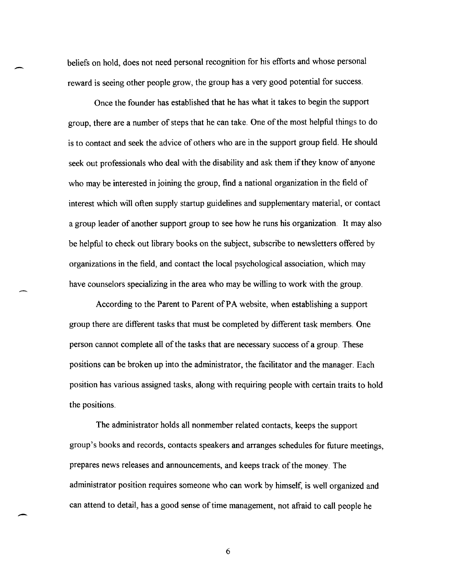beliefs on hold, does not need personal recognition for his efforts and whose personal reward is seeing other people grow, the group has a very good potential for success.

.-

 $\overline{\phantom{0}}$ 

Once the founder has established that he has what it takes to begin the support group, there are a number of steps that he can take. One of the most helpful things to do is to contact and seek the advice of others who are in the support group field. He should seek out professionals who deal with the disability and ask them if they know of anyone who may be interested in joining the group, find a national organization in the field of interest which will often supply startup guidelines and supplementary material, or contact a group leader of another support group to see how he runs his organization.. It may also be helpful to check out library books on the subject, subscribe to newsletters offered by organizations in the field, and contact the local psychological association, which may have counselors specializing in the area who may be willing to work with the group.

According to the Parent to Parent of PA website, when establishing a support group there are different tasks that must be completed by different task members. One person cannot complete all of the tasks that are necessary success of a group. These positions can be broken up into the administrator, the facilitator and the manager. Each position has various assigned tasks, along with requiring people with certain traits to hold the positions.

The administrator holds all nonmember related contacts, keeps the support group's books and records, contacts speakers and arranges schedules for future meetings, prepares news releases and announcements, and keeps track of the money. The administrator position requires someone who can work by himself, is well organized and can attend to detail, has a good sense of time management, not afraid to call people he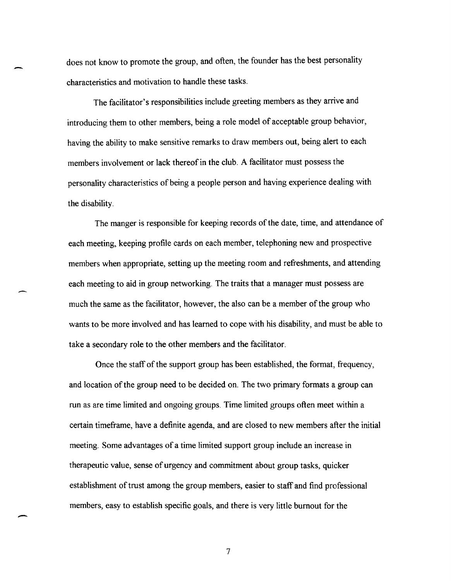does not know to promote the group, and often, the founder has the best personality characteristics and motivation to handle these tasks.

-

-

The facilitator's responsibilities include greeting members as they arrive and introducing them to other members, being a role model of acceptable group behavior, having the ability to make sensitive remarks to draw members out, being alert to each members involvement or lack thereof in the club. A facilitator must possess the personality characteristics of being a people person and having experience dealing with the disability.

The manger is responsible for keeping records of the date, time, and attendance of each meeting, keeping profile cards on each member, telephoning new and prospective members when appropriate, setting up the meeting room and refreshments, and attending each meeting to aid in group networking. The traits that a manager must possess are much the same as the facilitator, however, the also can be a member of the group who wants to be more involved and has learned to cope with his disability, and must be able to take a secondary role to the other members and the facilitator.

Once the staff of the support group has been established, the format, frequency, and location of the group need to be decided on. The two primary formats a group can run as are time limited and ongoing groups. Time limited groups often meet within a certain timeframe, have a definite agenda, and are closed to new members after the initial meeting. Some advantages of a time limited support group include an increase in therapeutic value, sense of urgency and commitment about group tasks, quicker establishment of trust among the group members, easier to staff and find professional members, easy to establish specific goals, and there is very little burnout for the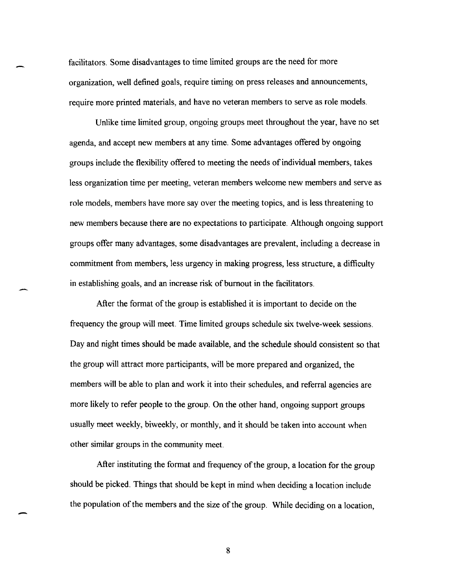facilitators. Some disadvantages to time limited groups are the need for more organization, well defined goals, require timing on press releases and announcements, require more printed materials, and have no veteran members to serve as role models.

Unlike time limited group, ongoing groups meet throughout the year, have no set agenda, and accept new members at any time. Some advantages offered by ongoing groups include the flexibility offered to meeting the needs of individual members, takes less organization time per meeting, veteran members welcome new members and serve as role models, members have more say over the meeting topics, and is less threatening to new members because there are no expectations to participate. Although ongoing support groups offer many advantages, some disadvantages are prevalent, including a decrease in commitment from members, less urgency in making progress, less structure, a difficulty in establishing goals, and an increase risk of burnout in the facilitators.

After the format of the group is established it is important to decide on the frequency the group will meet. Time limited groups schedule six twelve-week sessions. Day and night times should be made available, and the schedule should consistent so that the group will attract more participants, will be more prepared and organized, the members will be able to plan and work it into their schedules, and referral agencies are more likely to refer people to the group. On the other hand, ongoing support groups usually meet weekly, biweekly, or monthly, and it should be taken into account when other similar groups in the community meet.

After instituting the format and frequency of the group, a location for the group should be picked. Things that should be kept in mind when deciding a location include the population of the members and the size of the group. While deciding on a location,

-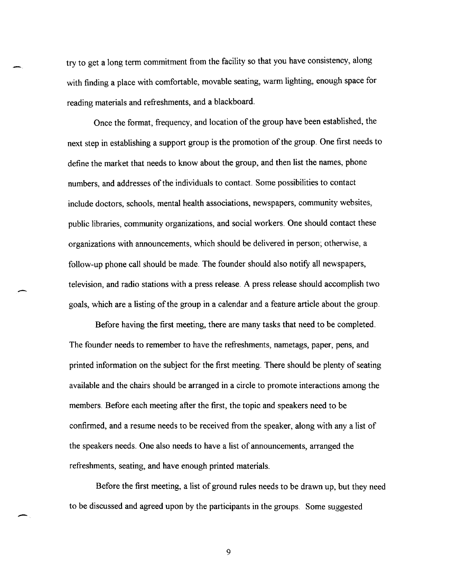try to get a long term commitment from the facility so that you have consistency, along with finding a place with comfortable, movable seating, warm lighting, enough space for reading materials and refreshments, and a blackboard.

Once the format, frequency, and location of the group have been established, the next step in establishing a support group is the promotion of the group. One first needs to define the market that needs to know about the group, and then list the names, phone numbers, and addresses of the individuals to contact. Some possibilities to contact include doctors, schools, mental health associations, newspapers, community websites, public libraries, community organizations, and social workers. One should contact these organizations with announcements, which should be delivered in person; otherwise, a follow-up phone call should be made. The founder should also notify all newspapers, television, and radio stations with a press release. A press release should accomplish two goals, which are a listing of the group in a calendar and a feature article about the group.

-

-

Before having the first meeting, there are many tasks that need to be completed. The founder needs to remember to have the refreshments, nametags, paper, pens, and printed information on the subject for the first meeting. There should be plenty of seating available and the chairs should be arranged in a circle to promote interactions among the members. Before each meeting after the first, the topic and speakers need to be confirmed, and a resume needs to be received from the speaker, along with any a list of the speakers needs. One also needs to have a list of announcements, arranged the refreshments, seating, and have enough printed materials.

Before the first meeting, a list of ground rules needs to be drawn up, but they need to be discussed and agreed upon by the participants in the groups. Some suggested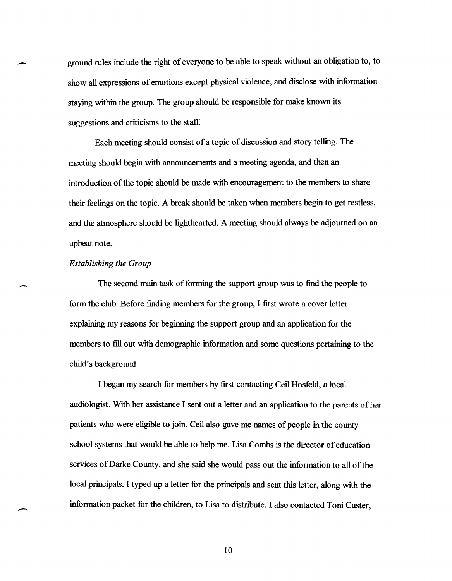ground rules include the right of everyone to be able to speak without an obligation to, to show all expressions of emotions except physical violence, and disclose with information staying within the group. The group should be responsible for make known its suggestions and criticisms to the staff.

Each meeting should consist of a topic of discussion and story telling. The meeting should begin with announcements and a meeting agenda, and then an introduction of the topic should be made with encouragement to the members to share their feelings on the topic. A break should be taken when members begin to get restless, and the atmosphere should be lighthearted. A meeting should always be adjourned on an upbeat note.

#### *Establishing the Group*

-

-

The second main task of forming the support group was to find the people to form the club. Before finding members for the group, I first wrote a cover letter explaining my reasons for beginning the support group and an application for the members to fill out with demographic information and some questions pertaining to the child's background.

I began my search for members by first contacting Ceil Hosfeld, a local audiologist. With her assistance I sent out a letter and an application to the parents of her patients who were eligible to join. Ceil also gave me names of people in the county school systems that would be able to help me. Lisa Combs is the director of education services of Darke County, and she said she would pass out the information to all of the local principals. I typed up a letter for the principals and sent this letter, along with the information packet for the children, to Lisa to distribute. I also contacted Toni Custer,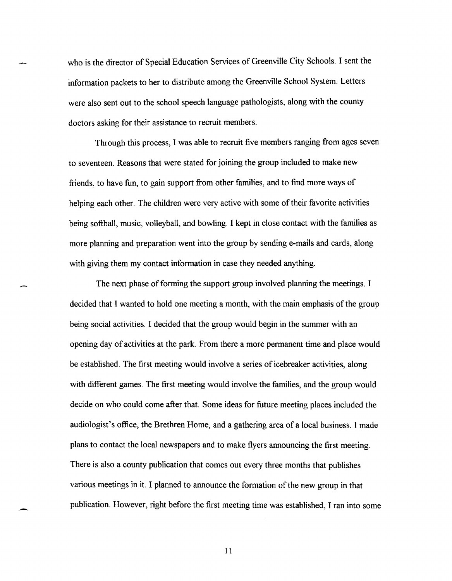who is the director of Special Education Services of Greenville City Schools. I sent the infonnation packets to her to distribute among the Greenville School System. Letters were also sent out to the school speech language pathologists, along with the county doctors asking for their assistance to recruit members.

Through this process, I was able to recruit five members ranging from ages seven to seventeen. Reasons that were stated for joining the group included to make new friends, to have fun, to gain support from other families, and to find more ways of helping each other. The children were very active with some of their favorite activities being softball, music, volleyball, and bowling. I kept in close contact with the families as more planning and preparation went into the group by sending e-mails and cards, along with giving them my contact information in case they needed anything.

The next phase of forming the support group involved planning the meetings. I decided that I wanted to hold one meeting a month, with the main emphasis of the group being social activities. I decided that the group would begin in the summer with an opening day of activities at the park. From there a more pennanent time and place would be established. The first meeting would involve a series of icebreaker activities, along with different games. The first meeting would involve the families, and the group would decide on who could come after that. Some ideas for future meeting places included the audiologist's office, the Brethren Home, and a gathering area of a local business. I made plans to contact the local newspapers and to make flyers announcing the first meeting. There is also a county publication that comes out every three months that publishes various meetings in it. I planned to announce the formation of the new group in that publication. However, right before the first meeting time was established, I ran into some

11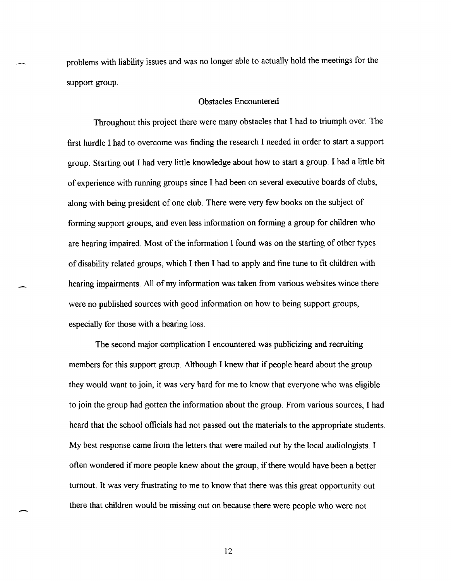problems with liability issues and was no longer able to actually hold the meetings for the support group.

#### Obstacles Encountered

Throughout this project there were many obstacles that I had to triumph over. The first hurdle I had to overcome was finding the research I needed in order to start a support group. Starting out I had very little knowledge about how to start a group. I had a little bit of experience with running groups since I had been on several executive boards of clubs, along with being president of one club. There were very few books on the subject of forming support groups, and even less information on forming a group for children who are hearing impaired. Most of the information I found was on the starting of other types of disability related groups, which I then I had to apply and fine tune to fit children with hearing impairments. All of my information was taken from various websites wince there were no published sources with good information on how to being support groups, especially for those with a hearing loss.

The second major complication I encountered was publicizing and recruiting members for this support group. Although I knew that if people heard about the group they would want to join, it was very hard for me to know that everyone who was eligible to join the group had gotten the information about the group. From various sources, I had heard that the school officials had not passed out the materials to the appropriate students. My best response came from the letters that were mailed out by the local audiologists. I often wondered if more people knew about the group, if there would have been a better turnout. It was very frustrating to me to know that there was this great opportunity out there that children would be missing out on because there were people who were not

12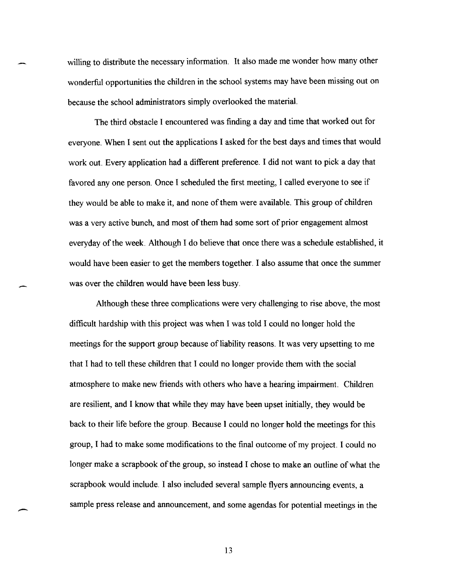willing to distribute the necessary information. It also made me wonder how many other wonderful opportunities the children in the school systems may have been missing out on because the school administrators simply overlooked the material.

The third obstacle I encountered was finding a day and time that worked out for everyone. When I sent out the applications I asked for the best days and times that would work out. Every application had a different preference. I did not want to pick a day that favored any one person. Once I scheduled the first meeting, I called everyone to see if they would be able to make it, and none of them were available. This group of children was a very active bunch, and most of them had some sort of prior engagement almost everyday of the week. Although I do believe that once there was a schedule established, it would have been easier to get the members together. I also assume that once the summer was over the children would have been less busy.

Although these three complications were very challenging to rise above, the most difficult hardship with this project was when I was told I could no longer hold the meetings for the support group because of liability reasons. It was very upsetting to me that I had to tell these children that I could no longer provide them with the social atmosphere to make new friends with others who have a hearing impairment. Children are resilient, and I know that while they may have been upset initially, they would be back to their life before the group. Because I could no longer hold the meetings for this group, I had to make some modifications to the final outcome of my project. I could no longer make a scrapbook of the group, so instead I chose to make an outline of what the scrapbook would include. I also included several sample flyers announcing events, a sample press release and announcement, and some agendas for potential meetings in the

13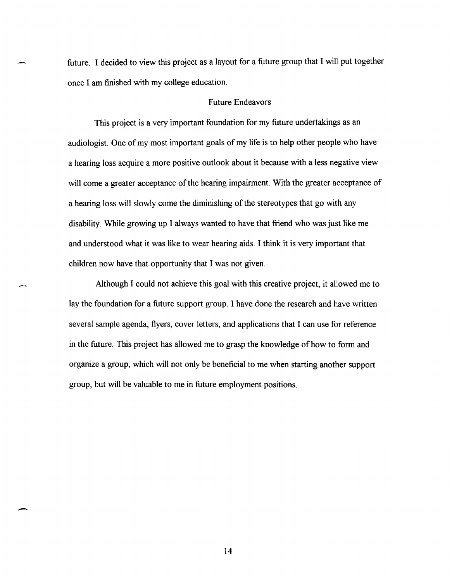future. I decided to view this project as a layout for a future group that I will put together once I am finished with my college education.

#### Future Endeavors

This project is a very important foundation for my future undertakings as an audiologist. One of my most important goals of my life is to help other people who have a hearing loss acquire a more positive outlook about it because with a less negative view will come a greater acceptance of the hearing impairment. With the greater acceptance of a hearing loss will slowly come the diminishing of the stereotypes that go with any disability. While growing up I always wanted to have that friend who was just like me and understood what it was like to wear hearing aids. I think it is very important that children now have that opportunity that I was not given.

Although I could not achieve this goal with this creative project, it allowed me to lay the foundation for a future support group. I have done the research and have written several sample agenda, flyers, cover letters, and applications that I can use for reference in the future. This project has allowed me to grasp the knowledge of how to form and organize a group, which will not only be beneficial to me when starting another support group, but will be valuable to me in future employment positions.

14

-

يدعين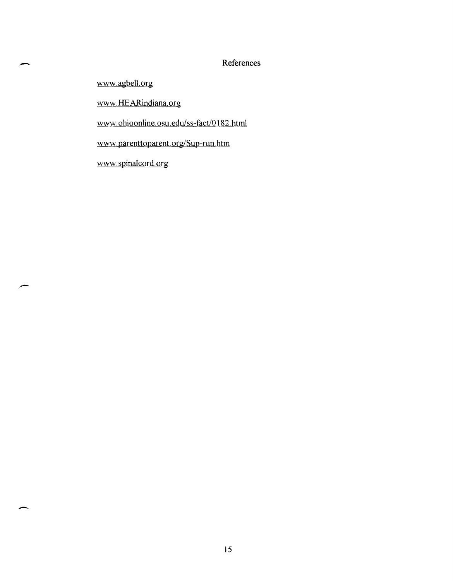#### References

www.agbell.org

-

-

www.HEARindiana.org

www.ohioonline.osu.edu/ss-fact/OI82.html

www.parenttoparent.org/Sup-run.htm

www.spinalcord.org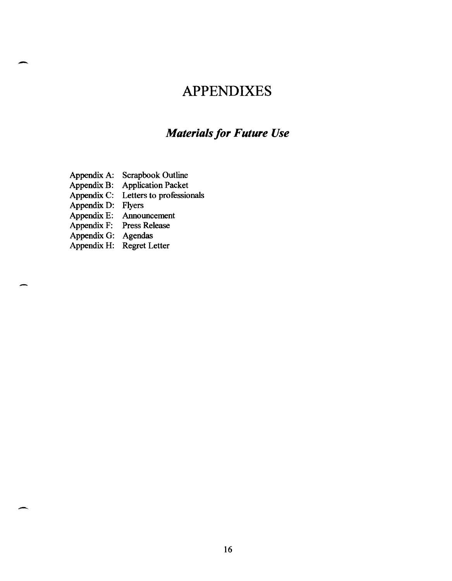### **APPENDIXES**

### **Materials for Future Use**

Appendix A: Scrapbook Outline

Appendix B: Application Packet

Appendix C: Letters to professionals

Appendix D: Flyers

-

-

Appendix E: Announcement<br>Appendix F: Press Release

 $Appendix F:$ 

Appendix G: Agendas

Appendix H: Regret Letter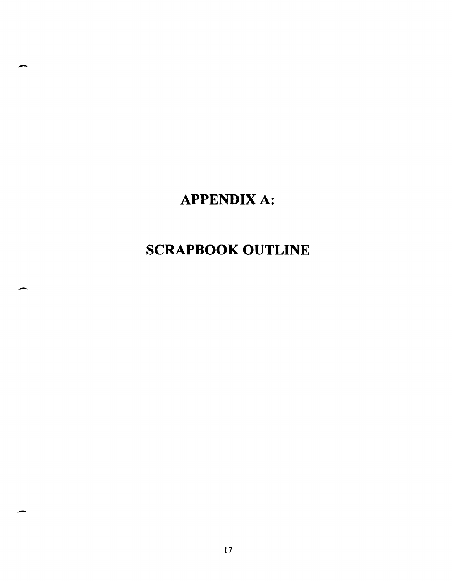## APPENDIX A:

.-

-

-

## **SCRAPBOOK OUTLINE**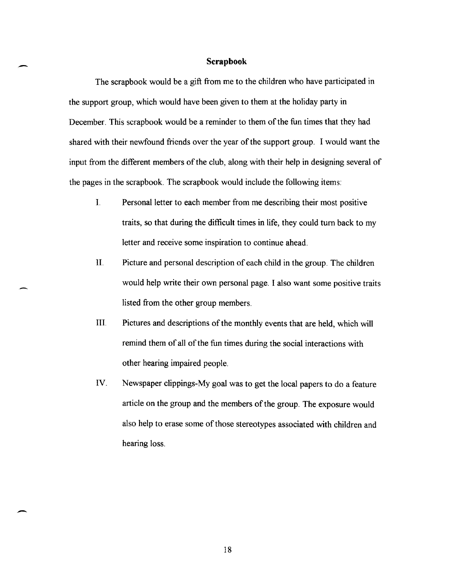#### **Scrapbook**

-

-

The scrapbook would be a gift from me to the children who have participated in the support group, which would have been given to them at the holiday party in December. This scrapbook would be a reminder to them of the fun times that they had shared with their newfound friends over the year of the support group. I would want the input from the different members of the club, along with their help in designing several of the pages in the scrapbook. The scrapbook would include the following items:

- I. Personal letter to each member from me describing their most positive traits, so that during the difficult times in life, they could tum back to my letter and receive some inspiration to continue ahead.
- II. Picture and personal description of each child in the group. The children would help write their own personal page. I also want some positive traits listed from the other group members.
- III. Pictures and descriptions of the monthly events that are held, which will remind them of all of the fun times during the social interactions with other hearing impaired people.
- IV. Newspaper clippings-My goal was to get the local papers to do a feature article on the group and the members of the group. The exposure would also help to erase some of those stereotypes associated with children and hearing loss.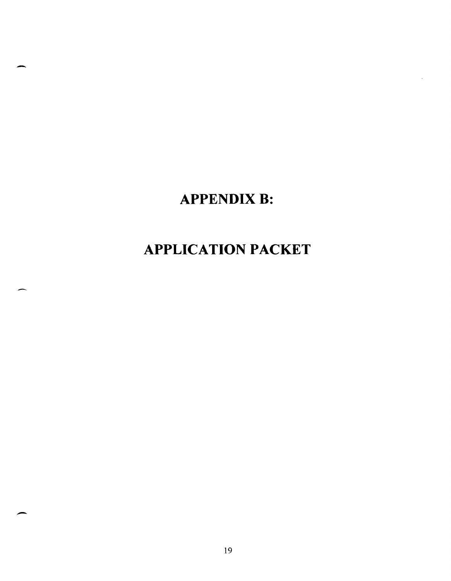## **APPENDIX B:**

-

-

# **APPLICATION PACKET**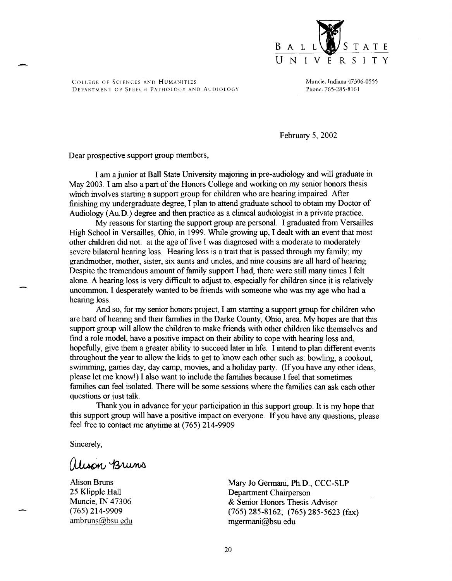

Muncie, Indiana 47306-0555 Phone: 765-285-8161

February 5, 2002

Dear prospective support group members,

-

I am a junior at Ball State University majoring in pre-audiology and will graduate in May 2003. I am also a part of the Honors College and working on my senior honors thesis which involves starting a support group for children who are hearing impaired. After finishing my undergraduate degree, I plan to attend graduate school to obtain my Doctor of Audiology (Au.D.) degree and then practice as a clinical audiologist in a private practice.

My reasons for starting the support group are personal. I graduated from Versailles High School in Versailles, Ohio, in 1999. While growing up, I dealt with an event that most other children did not: at the age of five I was diagnosed with a moderate to moderately severe bilateral hearing loss. Hearing loss is a trait that is passed through my family; my grandmother, mother, sister, six aunts and uncles, and nine cousins are all hard of hearing. Despite the tremendous amount of family support I had, there were still many times I felt alone. A hearing loss is very difficult to adjust to, especially for children since it is relatively uncommon. I desperately wanted to be friends with someone who was my age who had a hearing loss.

And so, for my senior honors project, I am starting a support group for children who are hard of hearing and their families in the Darke County, Ohio, area. My hopes are that this support group will allow the children to make friends with other children like themselves and find a role model, have a positive impact on their ability to cope with hearing loss and, hopefully, give them a greater ability to succeed later in life. I intend to plan different events throughout the year to allow the kids to get to know each other such as: bowling, a cookout, swimming, games day, day camp, movies, and a holiday party. (If you have any other ideas, please let me know!) I also want to include the families because I feel that sometimes families can feel isolated. There will be some sessions where the families can ask each other questions or just talk.

Thank you in advance for your participation in this support group. It is my hope that this support group will have a positive impact on everyone. If you have any questions, please feel free to contact me anytime at (765) 214-9909

Sincerely,

alison Bruns

Alison Bruns 25 Klipple Hall Muncie, IN 47306 (765) 214-9909 ambruns@bsu.edu Mary Jo Germani, Ph.D., CCC-SLP Department Chairperson & Senior Honors Thesis Advisor (765) 285-8162; (765) 285-5623 (fax) mgermani@bsu.edu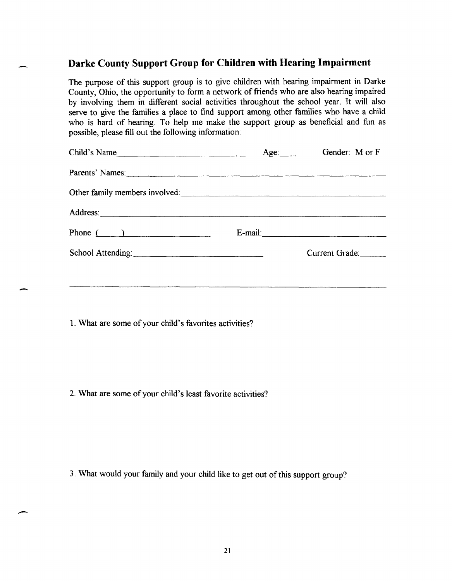#### **Darke County Support Group for Children with Hearing Impairment**

The purpose of this support group is to give children with hearing impairment in Darke County, Ohio, the opportunity to form a network of friends who are also hearing impaired by involving them in different social activities throughout the school year. It will also serve to give the families a place to find support among other families who have a child who is hard of hearing. To help me make the support group as beneficial and fun as possible, please fill out the following information:

| Child's Name      | Gender: M or F |
|-------------------|----------------|
| Parents' Names:   |                |
|                   |                |
| Address:          |                |
| Phone $($         | E-mail:        |
| School Attending: | Current Grade: |
|                   |                |

1. What are some of your child's favorites activities?

2. What are some of your child's least favorite activities?

-

3. What would your family and your child like to get out of this support group?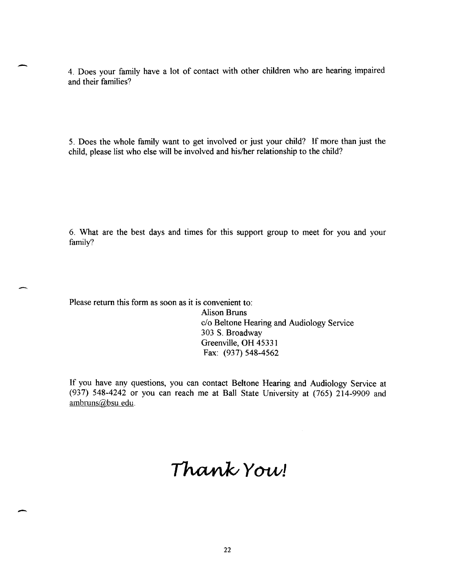4. Does your family have a lot of contact with other children who are hearing impaired and their families?

5. Does the whole family want to get involved or just your child? If more than just the child, please list who else will be involved and his/her relationship to the child?

6. What are the best days and times for this support group to meet for you and your family?

Please return this form as soon as it is convenient to:

-

-

Alison Bruns c/o Beltone Hearing and Audiology Service 303 S. Broadway Greenville, OH 45331 Fax: (937) 548-4562

If you have any questions, you can contact Beltone Hearing and Audiology Service at (937) 548-4242 or you can reach me at Ball State University at (765)  $214-9909$  and ambruns@bsu.edu.

# Thank You!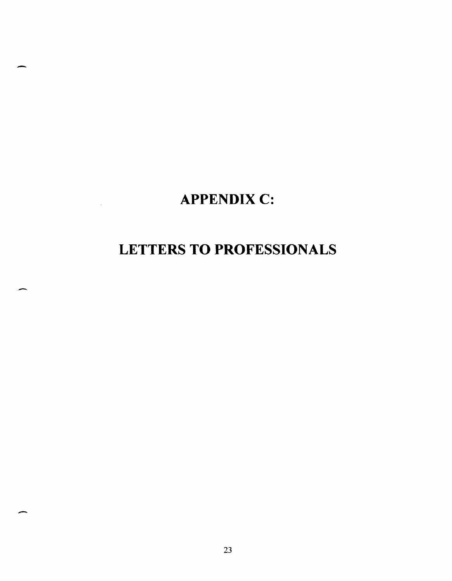### **APPENDIX C:**

-

-

-

### **LETTERS TO PROFESSIONALS**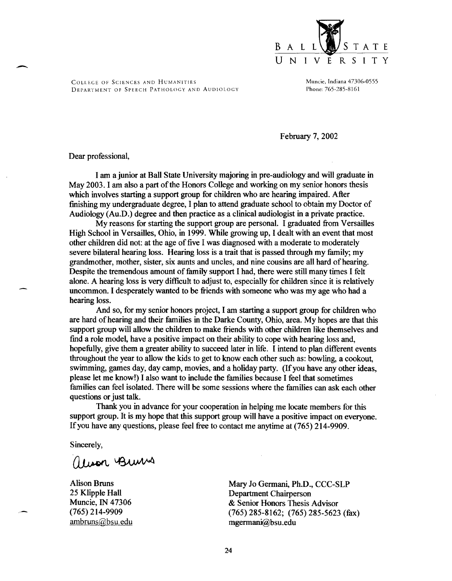

Muncie, Indiana 47306-0555 Phone: 765-285-8161

February 7, 2002

Dear professional,

.-

I am a junior at Ball State University majoring in pre-audiology and will graduate in May 2003. I am also a part of the Honors College and working on my senior honors thesis which involves starting a support group for children who are hearing impaired. After finishing my undergraduate degree, I plan to attend graduate school to obtain my Doctor of Audiology (Au.D.) degree and then practice as a clinical audiologist in a private practice.

My reasons for starting the support group are personal. I graduated from Versailles High School in Versailles, Ohio, in 1999. While growing up, I dealt with an event that most other children did not: at the age of five I was diagnosed with a moderate to moderately severe bilateral hearing loss. Hearing loss is a trait that is passed through my family; my grandmother, mother, sister, six aunts and uncles, and nine cousins are all hard of hearing. Despite the tremendous amount of family support I had, there were still many times I felt alone. A hearing loss is very difficult to adjust to, especially for children since it is relatively uncommon. I desperately wanted to be friends with someone who was my age who had a hearing loss.

And so, for my senior honors project, I am starting a support group for children who are hard of hearing and their families in the Darke County, Ohio, area. My hopes are that this support group will allow the children to make friends with other children like themselves and find a role model, have a positive impact on their ability to cope with hearing loss and, hopefully, give them a greater ability to succeed later in life. I intend to plan different events throughout the year to allow the kids to get to know each other such as: bowling, a cookout, swimming, games day, day camp, movies, and a holiday party. (If you have any other ideas, please let me know!) I also want to include the families because I feel that sometimes families can feel isolated. There will be some sessions where the families can ask each other questions or just talk.

Thank you in advance for your cooperation in helping me locate members for this support group. It is my hope that this support group will have a positive impact on everyone. If you have any questions, please feel free to contact me anytime at (765) 214-9909.

Sincerely,

Theor Burns

Alison Bruns 25 Klipple Hall Muncie, IN 47306 (765) 214-9909 ambruns@bsu.edu Mary 10 Germani, Ph.D., CCC-SLP Department Chairperson & Senior Honors Thesis Advisor (765) 285-8162; (765) 285-5623 (fax) mgermani@bsu.edu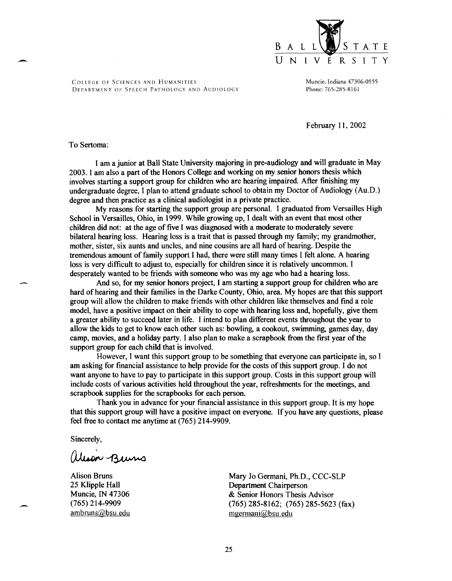

Muncie, Indiana 47306-0555 Phone: 765-285-8161

February 11, 2002

#### To Sertoma:

I am a junior at Ball State University majoring in pre-audiology and will graduate in May 2003. I am also a part of the Honors College and working on my senior honors thesis which involves starting a support group for children who are hearing impaired. After finishing my undergraduate degree, I plan to attend graduate school to obtain my Doctor of Audiology (Au.D.) degree and then practice as a clinical audiologist in a private practice.

My reasons for starting the support group are personal. I graduated from Versailles High School in Versailles, Ohio, in 1999. While growing up, I dealt with an event that most other children did not: at the age of five I was diagnosed with a moderate to moderately severe bilateral hearing loss. Hearing loss is a trait that is passed through my family; my grandmother, mother, sister, six aunts and uncles, and nine cousins are all hard of hearing. Despite the tremendous amount of family support I had, there were still many times I felt alone. A hearing loss is very difficult to adjust to, especially for children since it is relatively uncommon. I desperately wanted to be friends with someone who was my age who had a hearing loss.

And so, for my senior honors project, I am starting a support group for children who are hard of hearing and their families in the Darke County, Ohio, area. My hopes are that this support group will allow the children to make friends with other children like themselves and find a role model, have a positive impact on their ability to cope with hearing loss and, hopefully, give them a greater ability to succeed later in life. I intend to plan different events throughout the year to allow the kids to get to know each other such as: bowling, a cookout, swimming, games day, day camp, movies, and a holiday party. I also plan to make a scrapbook from the first year of the support group for each child that is involved.

However, I want this support group to be something that everyone can participate in, so I am asking for financial assistance to help provide for the costs of this support group. I do not want anyone to have to pay to participate in this support group. Costs in this support group will include costs of various activities held throughout the year, refreshments for the meetings, and scrapbook supplies for the scrapbooks for each person.

Thank you in advance for your fmancial assistance in this support group. It is my hope that this support group will have a positive impact on everyone. If you have any questions, please feel free to contact me anytime at (765) 214-9909.

Sincerely,

Wison Buins

Alison Bruns 25 Klipple Hall Muncie, IN 47306 (765) 214-9909 ambruns@bsu.edu Mary Jo Germani, Ph.D., CCC-SLP Department Chairperson & Senior Honors Thesis Advisor (765) 285-8162; (765) 285-5623 (fax) mgermani@bsu.edu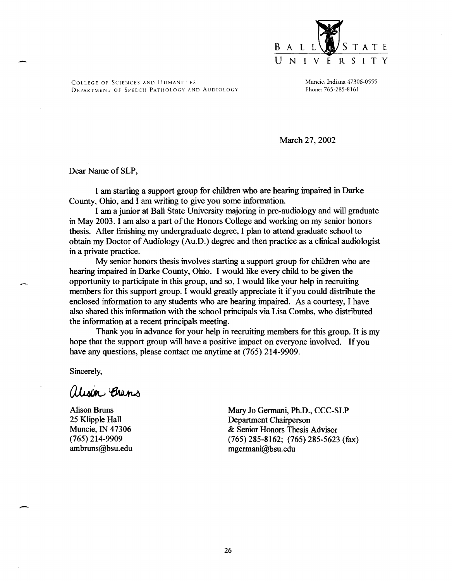

Muncie, Indiana 47306-0555 Phone: 765-2.85-8161

March 27, 2002

Dear Name of SLP,

I am starting a support group for children who are hearing impaired in Darke County, Ohio, and I am writing to give you some information.

I am a junior at Ball State University majoring in pre-audiology and will graduate in May 2003. I am also a part of the Honors College and working on my senior honors thesis. After finishing my undergraduate degree, I plan to attend graduate school to obtain my Doctor of Audiology (Au.D.) degree and then practice as a clinical audiologist in a private practice.

My senior honors thesis involves starting a support group for children who are hearing impaired in Darke County, Ohio. I would like every child to be given the opportunity to participate in this group, and so, I would like your help in recruiting members for this support group. I would greatly appreciate it if you could distribute the enclosed information to any students who are hearing impaired. As a courtesy, I have also shared this information with the school principals via Lisa Combs, who distributed the information at a recent principals meeting.

Thank you in advance for your help in recruiting members for this group. It is my hope that the support group will have a positive impact on everyone involved. If you have any questions, please contact me anytime at (765) 214-9909.

Sincerely,

-

alison Brins

Alison Bruns 25 Klipple Hall Muncie, IN 47306 (765) 214-9909 ambruns@bsu.edu Mary Jo Germani, Ph.D., CCC-SLP Department Chairperson & Senior Honors Thesis Advisor (765) 285-8162; (765) 285-5623 (fax) mgermani@bsu.edu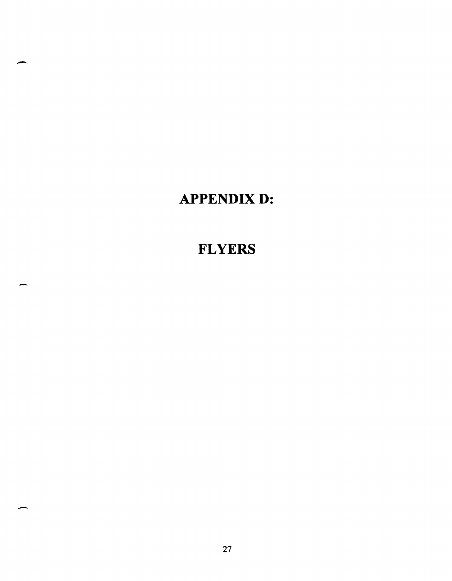### **APPENDIXD:**

 $\overline{\phantom{a}}$ 

-

### **FLYERS**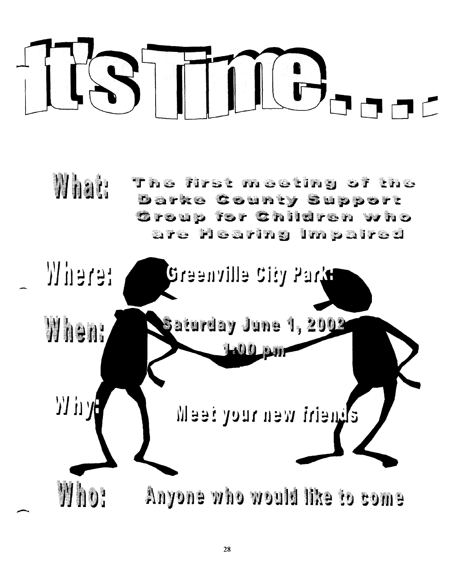

What:  $\mathbf T$  he first meating of the **Darks County Support** Group for Children who are Hearing Impaired

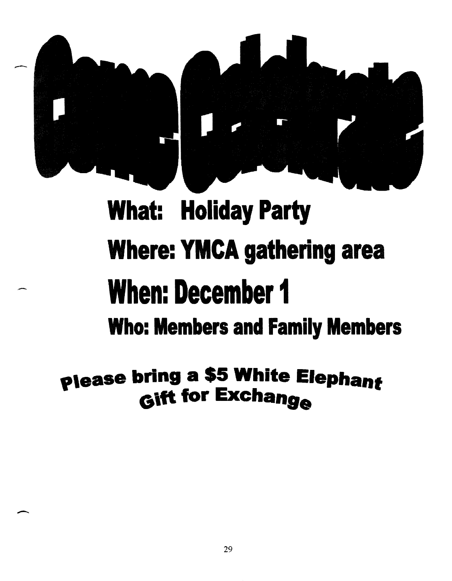

# What: Holiday Party Where: YMCA gathering area When: December 1 Who: Members and Family Members

# please bring a \$5 White Elephant Gift for Exchange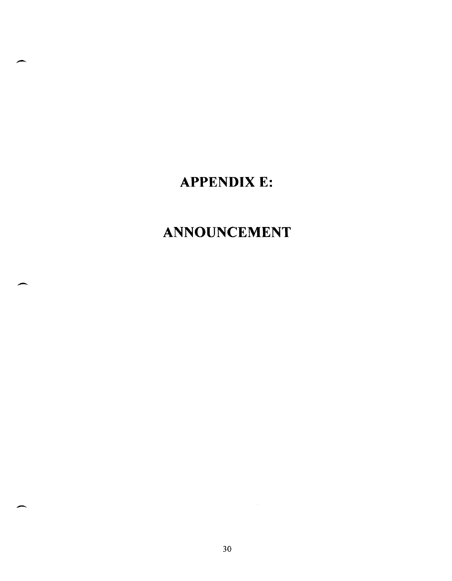### **APPENDIX E:**

-

-

-

## **ANNOUNCEMENT**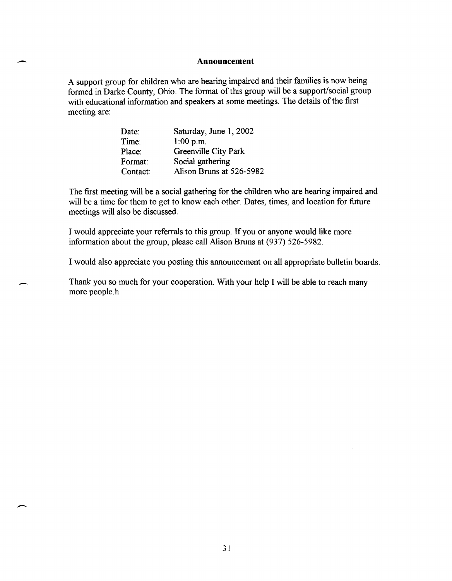#### **Announcement**

A support group for children who are hearing impaired and their families is now being formed in Darke County, Ohio. The format of this group will be a support/social group with educational information and speakers at some meetings. The details of the first meeting are:

| Date:    | Saturday, June 1, 2002   |
|----------|--------------------------|
| Time:    | $1:00$ p.m.              |
| Place:   | Greenville City Park     |
| Format:  | Social gathering         |
| Contact: | Alison Bruns at 526-5982 |

.-

-

-

The first meeting will be a social gathering for the children who are hearing impaired and will be a time for them to get to know each other. Dates, times, and location for future meetings will also be discussed.

I would appreciate your referrals to this group. If you or anyone would like more information about the group, please call Alison Bruns at (937) 526-5982.

I would also appreciate you posting this announcement on all appropriate bulletin boards.

Thank you so much for your cooperation. With your help I will be able to reach many more people.h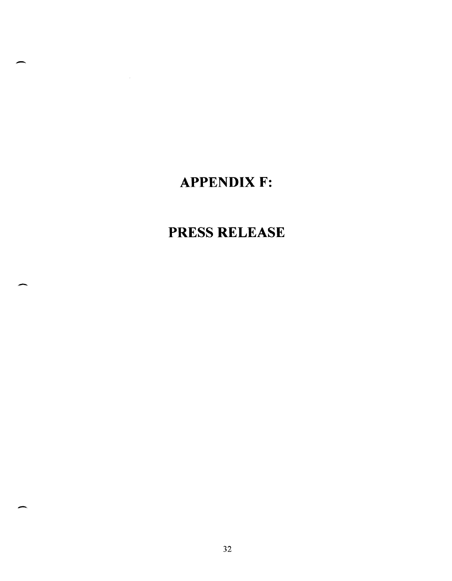### **APPENDIX F:**

-

 $\mathcal{L}_{\mathcal{L}}$ 

-

-

### **PRESS RELEASE**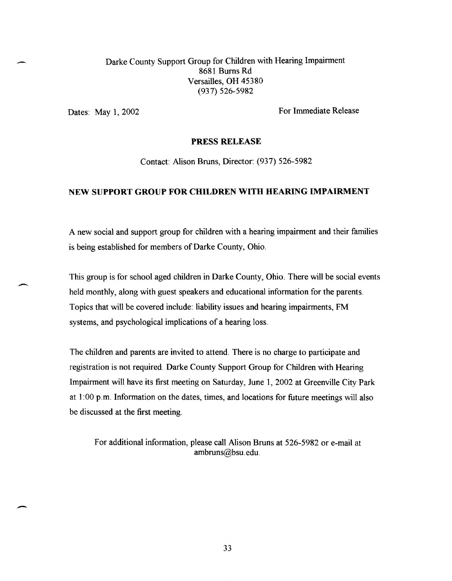Darke County Support Group for Children with Hearing Impairment 8681 Bums Rd Versailles, OH 45380 (937) 526-5982

-

-

 $\overline{\phantom{0}}$ 

Dates: May 1, 2002 For Immediate Release

#### PRESS RELEASE

Contact: Alison Bruns, Director: (937) 526-5982

#### NEW SUPPORT GROUP FOR CHILDREN WITH HEARING IMPAIRMENT

A new social and support group for children with a hearing impairment and their families is being established for members of Darke County, Ohio.

This group is for school aged children in Darke County, Ohio. There will be social events held monthly, along with guest speakers and educational information for the parents. Topics that will be covered include: liability issues and hearing impairments, FM systems, and psychological implications of a hearing loss.

The children and parents are invited to attend. There is no charge to participate and registration is not required. Darke County Support Group for Children with Hearing Impairment will have its first meeting on Saturday, June 1, 2002 at Greenville City Park at 1:00 p.m. Information on the dates, times, and locations for future meetings will also be discussed at the first meeting.

For additional information, please call Alison Bruns at 526-5982 or e-mail at ambruns@bsu.edu.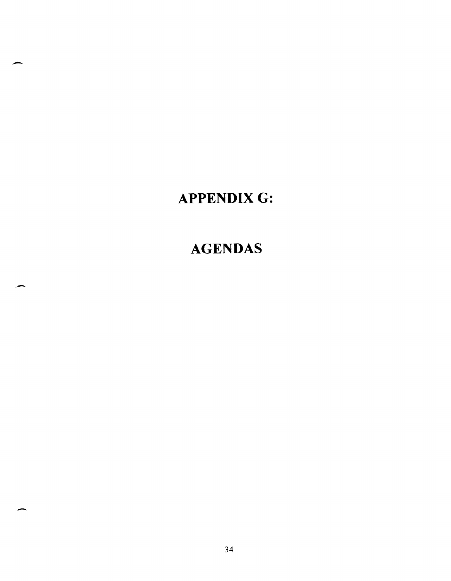### **APPENDIXG:**

-

-

### **AGENDAS**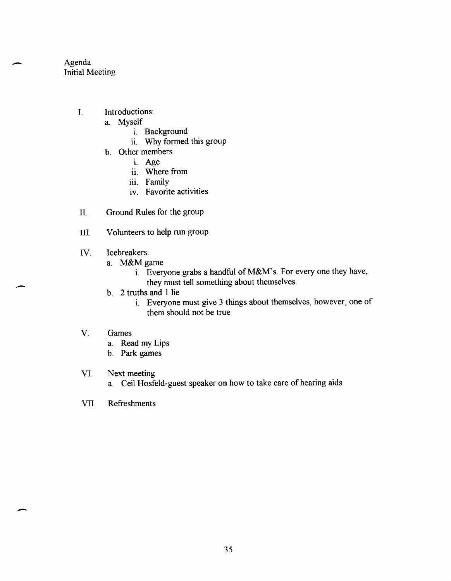Agenda Initial Meeting

-

-

 $\overline{\phantom{a}}$ 

- I. Introductions:
	- a. Myself
		- i. Background
		- ii. Why formed this group
	- b. Other members
		- 1. Age
		- ii. Where from
		- iii. Family
		- IV. Favorite activities
- II. Ground Rules for the group
- III. Volunteers to help run group
- IV. Icebreakers:
	- a. M&Mgame
		- i. Everyone grabs a handful of M&M's. For every one they have, they must tell something about themselves.
	- b. 2 truths and 1 lie
		- 1. Everyone must give 3 things about themselves, however, one of them should not be true
- V. Games
	- a. Read my Lips
	- b. Park games
- VI. Next meeting
	- a. Ceil Hosfeld-guest speaker on how to take care of hearing aids
- VII. Refreshments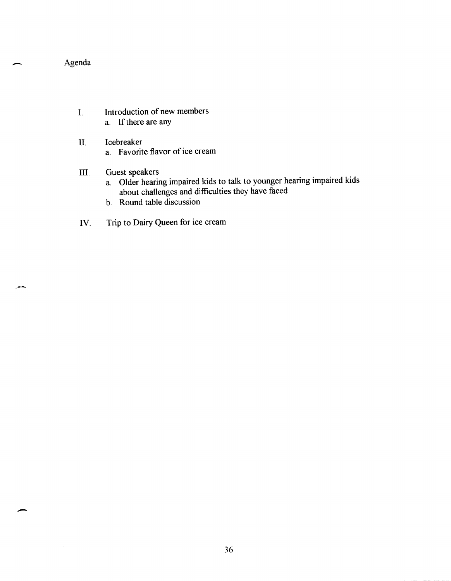Agenda

-

.-

- I. Introduction of new members a. If there are any
- II. Icebreaker a. Favorite flavor of ice cream
- III. Guest speakers
	- a. Older hearing impaired kids to talk to younger hearing impaired kids about challenges and difficulties they have faced
	- b. Round table discussion
- IV. Trip to Dairy Queen for ice cream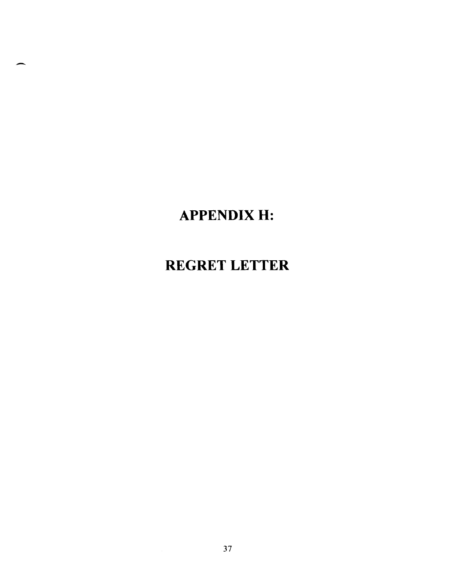# **APPENDIXH:**

--

### **REGRET LETTER**